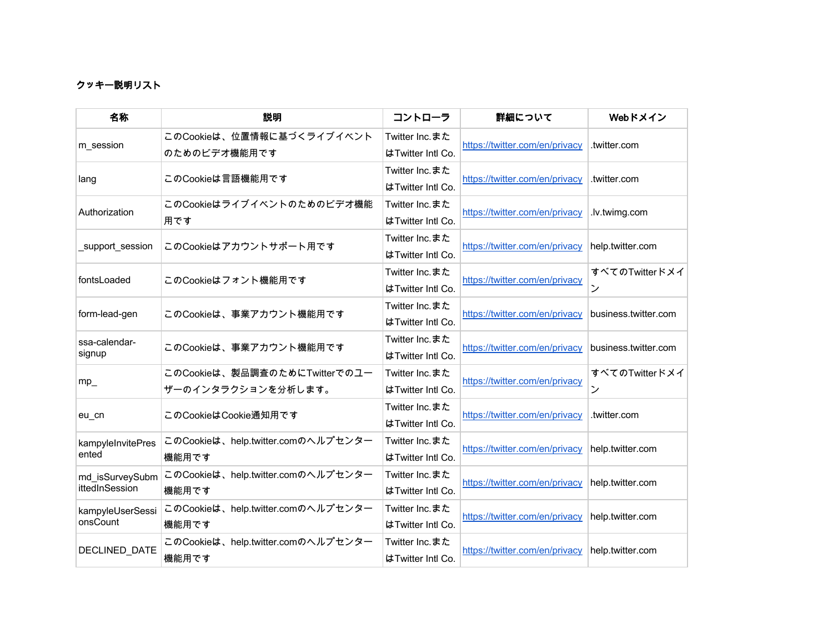## クッキー説明リスト

| 名称                | 説明                                 | コントローラ            | 詳細について                         | Webドメイン              |
|-------------------|------------------------------------|-------------------|--------------------------------|----------------------|
|                   | このCookieは、位置情報に基づくライブイベント          | Twitter Inc.また    | https://twitter.com/en/privacy |                      |
| m session         | のためのビデオ機能用です                       | はTwitter Intl Co. |                                | .twitter.com         |
|                   | このCookieは言語機能用です                   | Twitter Inc.また    | https://twitter.com/en/privacy | .twitter.com         |
| lang              |                                    | はTwitter Intl Co. |                                |                      |
| Authorization     | このCookieはライブイベントのためのビデオ機能          | Twitter Inc.また    | https://twitter.com/en/privacy | .lv.twimg.com        |
|                   | 用です                                | はTwitter Intl Co. |                                |                      |
| support session   | このCookieはアカウントサポート用です              | Twitter Inc.また    | https://twitter.com/en/privacy | help.twitter.com     |
|                   |                                    | はTwitter Intl Co. |                                |                      |
| fontsLoaded       | このCookieはフォント機能用です                 | Twitter Inc.また    | https://twitter.com/en/privacy | すべてのTwitterドメイ       |
|                   |                                    | はTwitter Intl Co. |                                | ン                    |
| form-lead-gen     | このCookieは、事業アカウント機能用です             | Twitter Inc.また    | https://twitter.com/en/privacy | business.twitter.com |
|                   |                                    | はTwitter Intl Co. |                                |                      |
| ssa-calendar-     | このCookieは、事業アカウント機能用です             | Twitter Inc.また    | https://twitter.com/en/privacy | business.twitter.com |
| signup            |                                    | はTwitter Intl Co. |                                |                      |
| $mp_$             | このCookieは、製品調査のためにTwitterでのユー      | Twitter Inc.また    | https://twitter.com/en/privacy | すべてのTwitterドメイ       |
|                   | ザーのインタラクションを分析します。                 | はTwitter Intl Co. |                                | ン                    |
| eu_cn             | このCookieはCookie通知用です               | Twitter Inc.また    | https://twitter.com/en/privacy | .twitter.com         |
|                   |                                    | はTwitter Intl Co. |                                |                      |
| kampyleInvitePres | このCookieは、help.twitter.comのヘルプセンター | Twitter Inc.また    | https://twitter.com/en/privacy | help.twitter.com     |
| ented             | 機能用です                              | はTwitter Intl Co. |                                |                      |
| md isSurveySubm   | このCookieは、help.twitter.comのヘルプセンター | Twitter Inc.また    | https://twitter.com/en/privacy | help.twitter.com     |
| ittedInSession    | 機能用です                              | はTwitter Intl Co. |                                |                      |
| kampyleUserSessi  | このCookieは、help.twitter.comのヘルプセンター | Twitter Inc.また    | https://twitter.com/en/privacy | help.twitter.com     |
| onsCount          | 機能用です                              | はTwitter Intl Co. |                                |                      |
|                   | このCookieは、help.twitter.comのヘルプセンター | Twitter Inc.また    | https://twitter.com/en/privacy | help.twitter.com     |
| DECLINED_DATE     | 機能用です                              | はTwitter Intl Co. |                                |                      |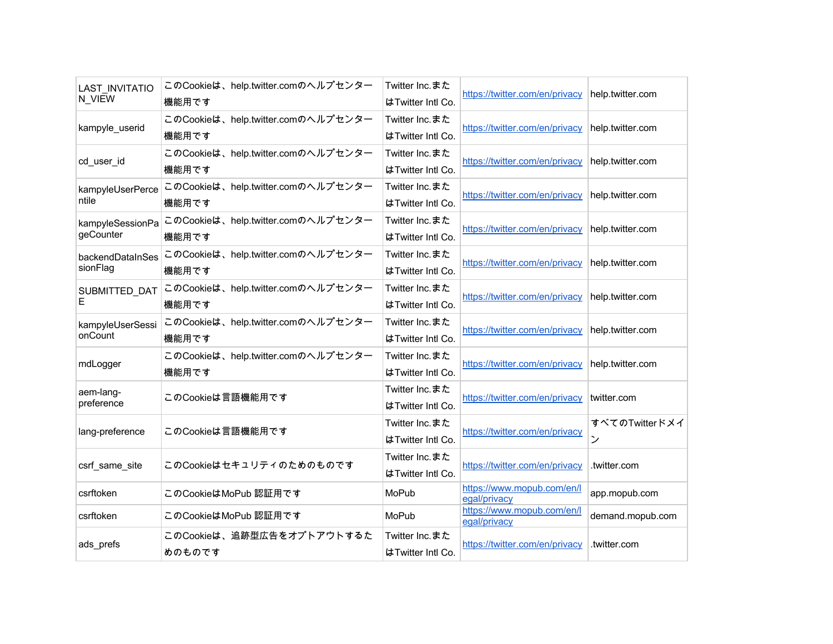| <b>LAST INVITATIO</b><br>N VIEW | このCookieは、help.twitter.comのヘルプセンター<br>機能用です | Twitter Inc.また<br>はTwitter Intl Co. | https://twitter.com/en/privacy             | help.twitter.com    |
|---------------------------------|---------------------------------------------|-------------------------------------|--------------------------------------------|---------------------|
| kampyle_userid                  | このCookieは、help.twitter.comのヘルプセンター<br>機能用です | Twitter Inc.また<br>はTwitter Intl Co. | https://twitter.com/en/privacy             | help.twitter.com    |
| cd_user_id                      | このCookieは、help.twitter.comのヘルプセンター<br>機能用です | Twitter Inc.また<br>はTwitter Intl Co. | https://twitter.com/en/privacy             | help.twitter.com    |
| kampyleUserPerce<br>ntile       | このCookieは、help.twitter.comのヘルプセンター<br>機能用です | Twitter Inc.また<br>はTwitter Intl Co. | https://twitter.com/en/privacy             | help.twitter.com    |
| kampyleSessionPa<br>geCounter   | このCookieは、help.twitter.comのヘルプセンター<br>機能用です | Twitter Inc.また<br>はTwitter Intl Co. | https://twitter.com/en/privacy             | help.twitter.com    |
| backendDataInSes<br>sionFlag    | このCookieは、help.twitter.comのヘルプセンター<br>機能用です | Twitter Inc.また<br>はTwitter Intl Co. | https://twitter.com/en/privacy             | help.twitter.com    |
| SUBMITTED_DAT<br>Е              | このCookieは、help.twitter.comのヘルプセンター<br>機能用です | Twitter Inc.また<br>はTwitter Intl Co. | https://twitter.com/en/privacy             | help.twitter.com    |
| kampyleUserSessi<br>onCount     | このCookieは、help.twitter.comのヘルプセンター<br>機能用です | Twitter Inc.また<br>はTwitter Intl Co. | https://twitter.com/en/privacy             | help.twitter.com    |
| mdLogger                        | このCookieは、help.twitter.comのヘルプセンター<br>機能用です | Twitter Inc.また<br>はTwitter Intl Co. | https://twitter.com/en/privacy             | help.twitter.com    |
| aem-lang-<br>preference         | このCookieは言語機能用です                            | Twitter Inc.また<br>はTwitter Intl Co. | https://twitter.com/en/privacy             | twitter.com         |
| lang-preference                 | このCookieは言語機能用です                            | Twitter Inc.また<br>はTwitter Intl Co. | https://twitter.com/en/privacy             | すべてのTwitterドメイ<br>ン |
| csrf_same_site                  | このCookieはセキュリティのためのものです                     | Twitter Inc.また<br>はTwitter Intl Co. | https://twitter.com/en/privacy             | .twitter.com        |
| csrftoken                       | このCookieはMoPub 認証用です                        | MoPub                               | https://www.mopub.com/en/l<br>egal/privacy | app.mopub.com       |
| csrftoken                       | このCookieはMoPub 認証用です                        | MoPub                               | https://www.mopub.com/en/l<br>egal/privacy | demand.mopub.com    |
| ads_prefs                       | このCookieは、追跡型広告をオプトアウトするた<br>めのものです         | Twitter Inc.また<br>はTwitter Intl Co. | https://twitter.com/en/privacy             | .twitter.com        |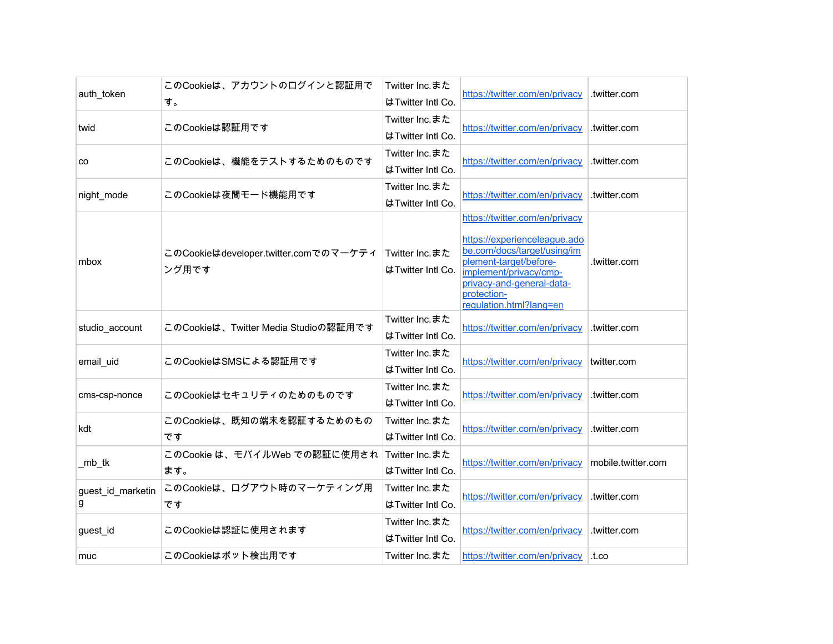| auth_token             | このCookieは、アカウントのログインと認証用で<br>す。                | Twitter Inc.また<br>はTwitter Intl Co. | https://twitter.com/en/privacy                                                                                                                                                                                           | .twitter.com       |
|------------------------|------------------------------------------------|-------------------------------------|--------------------------------------------------------------------------------------------------------------------------------------------------------------------------------------------------------------------------|--------------------|
| twid                   | このCookieは認証用です                                 | Twitter Inc.また<br>はTwitter Intl Co. | https://twitter.com/en/privacy                                                                                                                                                                                           | .twitter.com       |
| CO                     | このCookieは、機能をテストするためのものです                      | Twitter Inc.また<br>はTwitter Intl Co. | https://twitter.com/en/privacy                                                                                                                                                                                           | .twitter.com       |
| night_mode             | このCookieは夜間モード機能用です                            | Twitter Inc.また<br>はTwitter Intl Co. | https://twitter.com/en/privacy                                                                                                                                                                                           | .twitter.com       |
| mbox                   | このCookieはdeveloper.twitter.comでのマーケティ<br>ング用です | Twitter Inc.また<br>はTwitter Intl Co. | https://twitter.com/en/privacy<br>https://experienceleague.ado<br>be.com/docs/target/using/im<br>plement-target/before-<br>implement/privacy/cmp-<br>privacy-and-general-data-<br>protection-<br>regulation.html?lang=en | .twitter.com       |
| studio account         | このCookieは、Twitter Media Studioの認証用です           | Twitter Inc.また<br>はTwitter Intl Co. | https://twitter.com/en/privacy                                                                                                                                                                                           | .twitter.com       |
| email uid              | このCookieはSMSによる認証用です                           | Twitter Inc.また<br>はTwitter Intl Co. | https://twitter.com/en/privacy                                                                                                                                                                                           | twitter.com        |
| cms-csp-nonce          | このCookieはセキュリティのためのものです                        | Twitter Inc.また<br>はTwitter Intl Co. | https://twitter.com/en/privacy                                                                                                                                                                                           | .twitter.com       |
| kdt                    | このCookieは、既知の端末を認証するためのもの<br>です                | Twitter Inc.また<br>はTwitter Intl Co. | https://twitter.com/en/privacy                                                                                                                                                                                           | .twitter.com       |
| _mb_tk                 | このCookie は、モバイルWeb での認証に使用され<br>ます。            | Twitter Inc.また<br>はTwitter Intl Co. | https://twitter.com/en/privacy                                                                                                                                                                                           | mobile.twitter.com |
| guest_id_marketin<br>g | このCookieは、ログアウト時のマーケティング用<br>です                | Twitter Inc.また<br>はTwitter Intl Co. | https://twitter.com/en/privacy                                                                                                                                                                                           | .twitter.com       |
| guest_id               | このCookieは認証に使用されます                             | Twitter Inc.また<br>はTwitter Intl Co. | https://twitter.com/en/privacy                                                                                                                                                                                           | .twitter.com       |
| muc                    | このCookieはボット検出用です                              | Twitter Inc.また                      | https://twitter.com/en/privacy                                                                                                                                                                                           | .t.co              |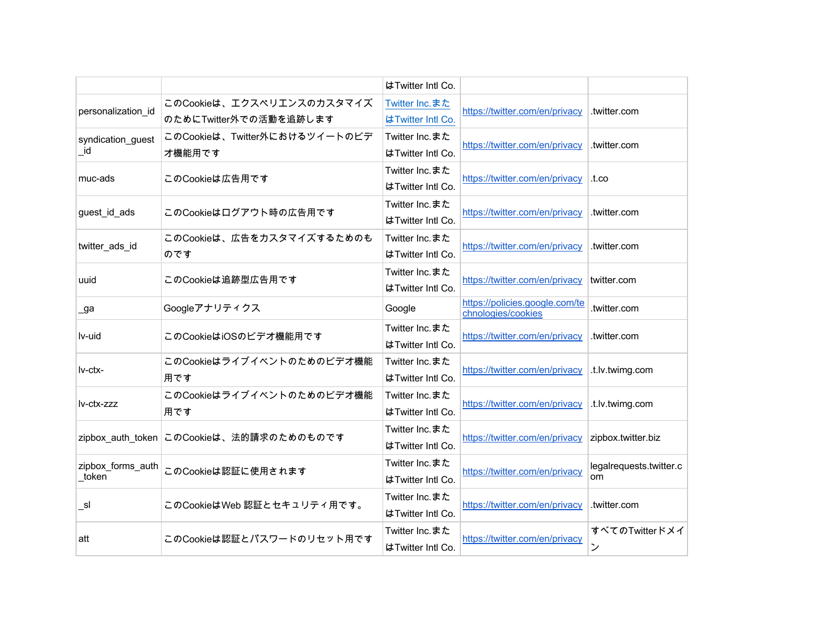|                    |                                          | はTwitter Intl Co. |                                                      |                         |
|--------------------|------------------------------------------|-------------------|------------------------------------------------------|-------------------------|
| personalization id | このCookieは、エクスペリエンスのカスタマイズ                | Twitter Inc.また    | https://twitter.com/en/privacy                       | .twitter.com            |
|                    | のためにTwitter外での活動を追跡します                   | はTwitter Intl Co. |                                                      |                         |
| syndication guest  | このCookieは、Twitter外におけるツイートのビデ<br>才機能用です  | Twitter Inc.また    | https://twitter.com/en/privacy                       | .twitter.com            |
| id                 |                                          | はTwitter Intl Co. |                                                      |                         |
| muc-ads            | このCookieは広告用です                           | Twitter Inc.また    | https://twitter.com/en/privacy                       | .t.co                   |
|                    |                                          | はTwitter Intl Co. |                                                      |                         |
| guest id ads       | このCookieはログアウト時の広告用です                    | Twitter Inc.また    | https://twitter.com/en/privacy                       | .twitter.com            |
|                    |                                          | はTwitter Intl Co. |                                                      |                         |
| twitter_ads_id     | このCookieは、広告をカスタマイズするためのも                | Twitter Inc.また    | https://twitter.com/en/privacy                       | .twitter.com            |
|                    | のです                                      | はTwitter Intl Co. |                                                      |                         |
| uuid               | このCookieは追跡型広告用です                        | Twitter Inc.また    | https://twitter.com/en/privacy                       | twitter.com             |
|                    |                                          | はTwitter Intl Co. |                                                      |                         |
| $\lrcorner$ ga     | Googleアナリティクス                            | Google            | https://policies.google.com/te<br>chnologies/cookies | twitter.com.            |
| lv-uid             | このCookieはiOSのビデオ機能用です                    | Twitter Inc.また    | https://twitter.com/en/privacy                       | .twitter.com            |
|                    |                                          | はTwitter Intl Co. |                                                      |                         |
| Iv-ctx-            | このCookieはライブイベントのためのビデオ機能                | Twitter Inc.また    | https://twitter.com/en/privacy                       | .t.lv.twimg.com         |
|                    | 用です                                      | はTwitter Intl Co. |                                                      |                         |
| lv-ctx-zzz         | このCookieはライブイベントのためのビデオ機能                | Twitter Inc.また    | https://twitter.com/en/privacy                       | .t.lv.twimg.com         |
|                    | 用です                                      | はTwitter Intl Co. |                                                      |                         |
|                    |                                          | Twitter Inc.また    | https://twitter.com/en/privacy                       | zipbox.twitter.biz      |
|                    | zipbox_auth_token このCookieは、法的請求のためのものです | はTwitter Intl Co. |                                                      |                         |
| zipbox_forms_auth  | このCookieは認証に使用されます                       | Twitter Inc.また    | https://twitter.com/en/privacy                       | legalrequests.twitter.c |
| token              |                                          | はTwitter Intl Co. |                                                      | om                      |
| sl                 | このCookieはWeb 認証とセキュリティ用です。               | Twitter Inc.また    | https://twitter.com/en/privacy                       | .twitter.com            |
|                    |                                          | はTwitter Intl Co. |                                                      |                         |
| att                | このCookieは認証とパスワードのリセット用です                | Twitter Inc.また    | https://twitter.com/en/privacy                       | すべてのTwitterドメイ          |
|                    |                                          | はTwitter Intl Co. |                                                      | ン                       |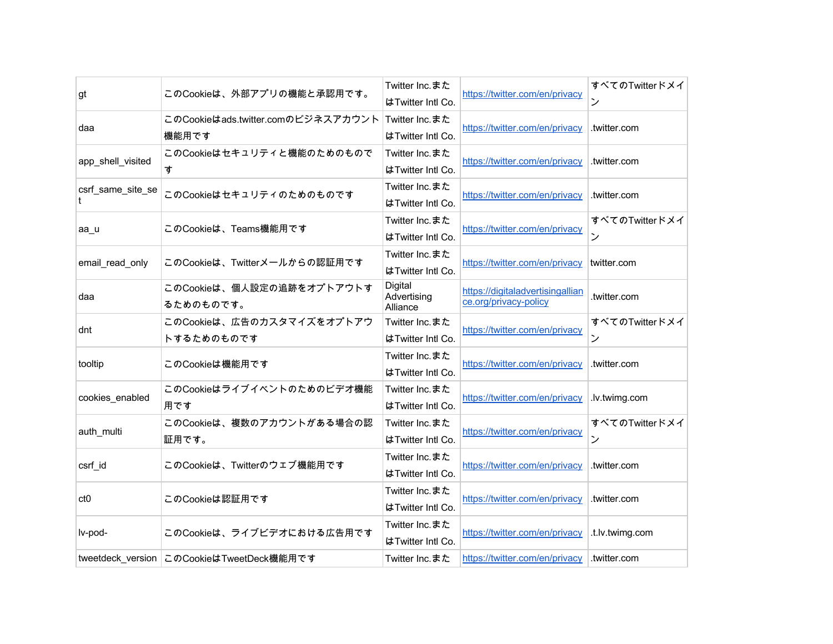| gt                | このCookieは、外部アプリの機能と承認用です。                   | Twitter Inc.また<br>はTwitter Intl Co. | https://twitter.com/en/privacy                            | すべてのTwitterドメイ<br>ン |
|-------------------|---------------------------------------------|-------------------------------------|-----------------------------------------------------------|---------------------|
| daa               | このCookieはads.twitter.comのビジネスアカウント<br>機能用です | Twitter Inc.また<br>はTwitter Intl Co. | https://twitter.com/en/privacy                            | .twitter.com        |
| app_shell_visited | このCookieはセキュリティと機能のためのもので<br>す              | Twitter Inc.また<br>はTwitter Intl Co. | https://twitter.com/en/privacy                            | .twitter.com        |
| csrf_same_site_se | このCookieはセキュリティのためのものです                     | Twitter Inc.また<br>はTwitter Intl Co. | https://twitter.com/en/privacy                            | .twitter.com        |
| aa u              | このCookieは、Teams機能用です                        | Twitter Inc.また<br>はTwitter Intl Co. | https://twitter.com/en/privacy                            | すべてのTwitterドメイ<br>ン |
| email read only   | このCookieは、Twitterメールからの認証用です                | Twitter Inc.また<br>はTwitter Intl Co. | https://twitter.com/en/privacy                            | twitter.com         |
| daa               | このCookieは、個人設定の追跡をオプトアウトす<br>るためのものです。      | Digital<br>Advertising<br>Alliance  | https://digitaladvertisingallian<br>ce.org/privacy-policy | .twitter.com        |
| dnt               | このCookieは、広告のカスタマイズをオプトアウ<br>トするためのものです     | Twitter Inc.また<br>はTwitter Intl Co. | https://twitter.com/en/privacy                            | すべてのTwitterドメイ<br>ン |
| tooltip           | このCookieは機能用です                              | Twitter Inc.また<br>はTwitter Intl Co. | https://twitter.com/en/privacy                            | .twitter.com        |
| cookies_enabled   | このCookieはライブイベントのためのビデオ機能<br>用です            | Twitter Inc.また<br>はTwitter Intl Co. | https://twitter.com/en/privacy                            | .lv.twimg.com       |
| auth multi        | このCookieは、複数のアカウントがある場合の認<br>証用です。          | Twitter Inc.また<br>はTwitter Intl Co. | https://twitter.com/en/privacy                            | すべてのTwitterドメイ<br>ン |
| csrf id           | このCookieは、Twitterのウェブ機能用です                  | Twitter Inc.また<br>はTwitter Intl Co. | https://twitter.com/en/privacy                            | .twitter.com        |
| ct0               | このCookieは認証用です                              | Twitter Inc.また<br>はTwitter Intl Co. | https://twitter.com/en/privacy                            | .twitter.com        |
| lv-pod-           | このCookieは、ライブビデオにおける広告用です                   | Twitter Inc.また<br>はTwitter Intl Co. | https://twitter.com/en/privacy                            | .t.lv.twimg.com     |
|                   | tweetdeck_version このCookieはTweetDeck機能用です   | Twitter Inc.また                      | https://twitter.com/en/privacy                            | .twitter.com        |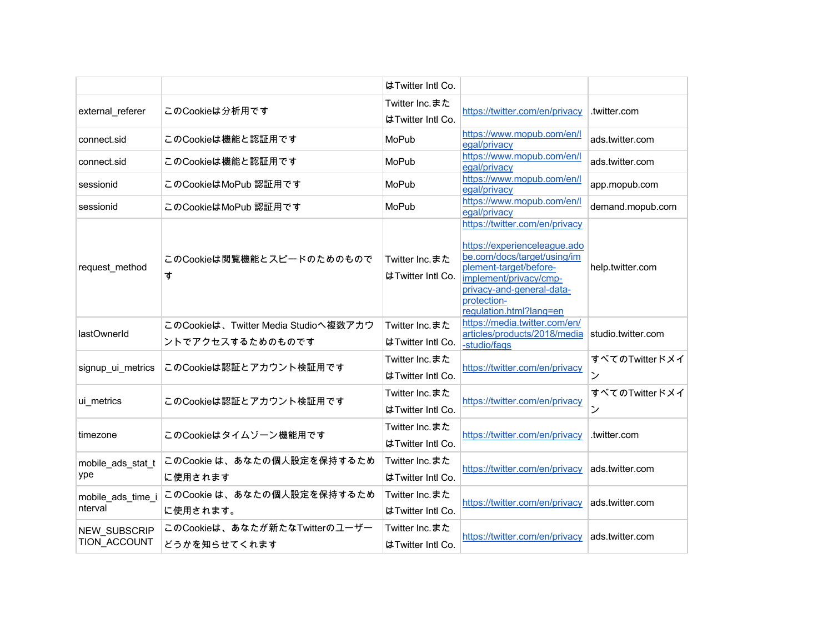|                                     |                                                          | はTwitter Intl Co.                   |                                                                                                                                                                                                                          |                     |
|-------------------------------------|----------------------------------------------------------|-------------------------------------|--------------------------------------------------------------------------------------------------------------------------------------------------------------------------------------------------------------------------|---------------------|
| external_referer                    | このCookieは分析用です                                           | Twitter Inc.また<br>はTwitter Intl Co. | https://twitter.com/en/privacy                                                                                                                                                                                           | .twitter.com        |
| connect.sid                         | このCookieは機能と認証用です                                        | MoPub                               | https://www.mopub.com/en/l<br>egal/privacy                                                                                                                                                                               | ads.twitter.com     |
| connect.sid                         | このCookieは機能と認証用です                                        | MoPub                               | https://www.mopub.com/en/l<br>egal/privacy                                                                                                                                                                               | ads.twitter.com     |
| sessionid                           | このCookieはMoPub 認証用です                                     | MoPub                               | https://www.mopub.com/en/l<br>egal/privacy                                                                                                                                                                               | app.mopub.com       |
| sessionid                           | このCookieはMoPub 認証用です                                     | MoPub                               | https://www.mopub.com/en/l<br>egal/privacy                                                                                                                                                                               | demand.mopub.com    |
| request_method                      | このCookieは閲覧機能とスピードのためのもので<br>す                           | Twitter Inc.また<br>はTwitter Intl Co. | https://twitter.com/en/privacy<br>https://experienceleaque.ado<br>be.com/docs/target/using/im<br>plement-target/before-<br>implement/privacy/cmp-<br>privacy-and-general-data-<br>protection-<br>regulation.html?lang=en | help.twitter.com    |
| lastOwnerId                         | このCookieは、Twitter Media Studioへ複数アカウ<br>ントでアクセスするためのものです | Twitter Inc.また<br>はTwitter Intl Co. | https://media.twitter.com/en/<br>articles/products/2018/media<br>-studio/faqs                                                                                                                                            | studio.twitter.com  |
| signup_ui_metrics                   | このCookieは認証とアカウント検証用です                                   | Twitter Inc.また<br>はTwitter Intl Co. | https://twitter.com/en/privacy                                                                                                                                                                                           | すべてのTwitterドメイ<br>ン |
| ui_metrics                          | このCookieは認証とアカウント検証用です                                   | Twitter Inc.また<br>はTwitter Intl Co. | https://twitter.com/en/privacy                                                                                                                                                                                           | すべてのTwitterドメイ<br>ン |
| timezone                            | このCookieはタイムゾーン機能用です                                     | Twitter Inc.また<br>はTwitter Intl Co. | https://twitter.com/en/privacy                                                                                                                                                                                           | .twitter.com        |
| mobile_ads_stat_t<br>ype            | このCookie は、あなたの個人設定を保持するため<br>に使用されます                    | Twitter Inc.また<br>はTwitter Intl Co. | https://twitter.com/en/privacy                                                                                                                                                                                           | ads.twitter.com     |
| mobile ads time i<br>nterval        | このCookie は、あなたの個人設定を保持するため<br>に使用されます。                   | Twitter Inc.また<br>はTwitter Intl Co. | https://twitter.com/en/privacy                                                                                                                                                                                           | ads.twitter.com     |
| <b>NEW SUBSCRIP</b><br>TION ACCOUNT | このCookieは、あなたが新たなTwitterのユーザー<br>どうかを知らせてくれます            | Twitter Inc.また<br>はTwitter Intl Co. | https://twitter.com/en/privacy                                                                                                                                                                                           | ads.twitter.com     |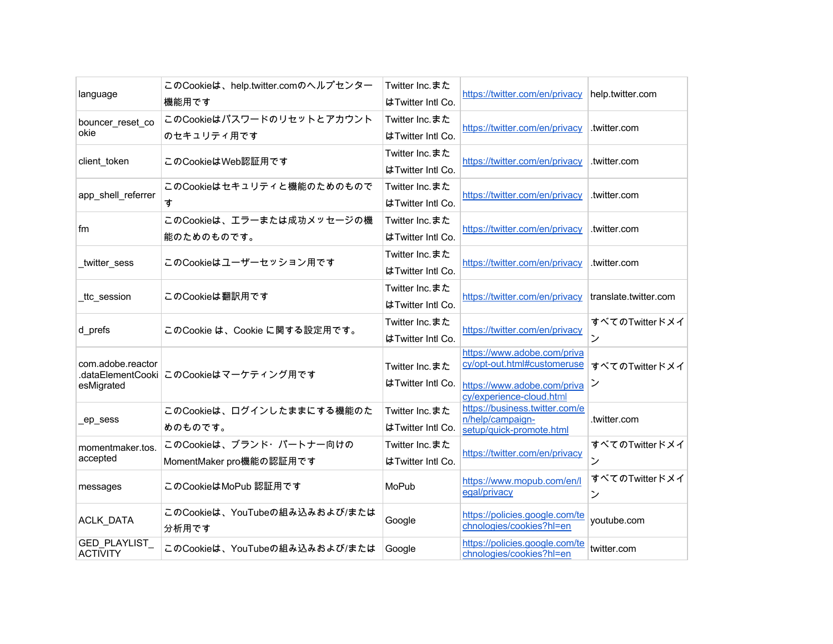| language                         | このCookieは、help.twitter.comのヘルプセンター<br>機能用です        | Twitter Inc.また<br>はTwitter Intl Co. | https://twitter.com/en/privacy                                                                                        | help.twitter.com      |
|----------------------------------|----------------------------------------------------|-------------------------------------|-----------------------------------------------------------------------------------------------------------------------|-----------------------|
| bouncer_reset_co<br>okie         | このCookieはパスワードのリセットとアカウント<br>のセキュリティ用です            | Twitter Inc.また<br>はTwitter Intl Co. | https://twitter.com/en/privacy                                                                                        | .twitter.com          |
| client_token                     | このCookieはWeb認証用です                                  | Twitter Inc.また<br>はTwitter Intl Co. | https://twitter.com/en/privacy                                                                                        | .twitter.com          |
| app shell referrer               | このCookieはセキュリティと機能のためのもので<br>す                     | Twitter Inc.また<br>はTwitter Intl Co. | https://twitter.com/en/privacy                                                                                        | .twitter.com          |
| fm                               | このCookieは、エラーまたは成功メッセージの機<br>能のためのものです。            | Twitter Inc.また<br>はTwitter Intl Co. | https://twitter.com/en/privacy                                                                                        | .twitter.com          |
| twitter sess                     | このCookieはユーザーセッション用です                              | Twitter Inc.また<br>はTwitter Intl Co. | https://twitter.com/en/privacy                                                                                        | .twitter.com          |
| _ttc_session                     | このCookieは翻訳用です                                     | Twitter Inc.また<br>はTwitter Intl Co. | https://twitter.com/en/privacy                                                                                        | translate.twitter.com |
| d prefs                          | このCookie は、Cookie に関する設定用です。                       | Twitter Inc.また<br>はTwitter Intl Co. | https://twitter.com/en/privacy                                                                                        | すべてのTwitterドメイ<br>ン   |
| com.adobe.reactor<br>esMigrated  | .dataElementCooki このCookieはマーケティング用です              | Twitter Inc.また<br>はTwitter Intl Co. | https://www.adobe.com/priva<br>cy/opt-out.html#customeruse<br>https://www.adobe.com/priva<br>cy/experience-cloud.html | すべてのTwitterドメイ<br>ン   |
| _ep_sess                         | このCookieは、ログインしたままにする機能のた<br>めのものです。               | Twitter Inc.また<br>はTwitter Intl Co. | https://business.twitter.com/e<br>n/help/campaign-<br>setup/quick-promote.html                                        | .twitter.com          |
| momentmaker.tos.<br>accepted     | このCookieは、ブランド・パートナー向けの<br>MomentMaker pro機能の認証用です | Twitter Inc.また<br>はTwitter Intl Co. | https://twitter.com/en/privacy                                                                                        | すべてのTwitterドメイ<br>ン   |
| messages                         | このCookieはMoPub 認証用です                               | MoPub                               | https://www.mopub.com/en/l<br>egal/privacy                                                                            | すべてのTwitterドメイ<br>ン   |
| ACLK_DATA                        | このCookieは、YouTubeの組み込みおよび/または<br>分析用です             | Google                              | https://policies.google.com/te<br>chnologies/cookies?hl=en                                                            | youtube.com           |
| GED_PLAYLIST_<br><b>ACTIVITY</b> | このCookieは、YouTubeの組み込みおよび/または                      | Google                              | https://policies.google.com/te<br>chnologies/cookies?hl=en                                                            | twitter.com           |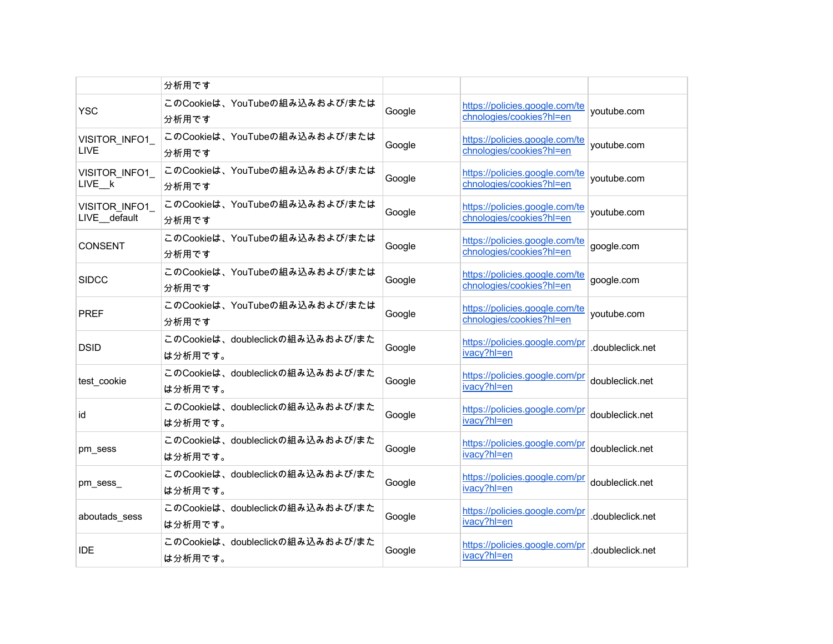|                               | 分析用です                                       |        |                                                            |                  |
|-------------------------------|---------------------------------------------|--------|------------------------------------------------------------|------------------|
| <b>YSC</b>                    | このCookieは、YouTubeの組み込みおよび/または<br>分析用です      | Google | https://policies.google.com/te<br>chnologies/cookies?hl=en | youtube.com      |
| VISITOR INFO1<br>LIVE         | このCookieは、YouTubeの組み込みおよび/または<br>分析用です      | Google | https://policies.google.com/te<br>chnologies/cookies?hl=en | voutube.com      |
| VISITOR INFO1<br>LIVE k       | このCookieは、YouTubeの組み込みおよび/または<br>分析用です      | Google | https://policies.google.com/te<br>chnologies/cookies?hl=en | youtube.com      |
| VISITOR INFO1<br>LIVE default | このCookieは、YouTubeの組み込みおよび/または<br>分析用です      | Google | https://policies.google.com/te<br>chnologies/cookies?hl=en | youtube.com      |
| <b>CONSENT</b>                | このCookieは、YouTubeの組み込みおよび/または<br>分析用です      | Google | https://policies.google.com/te<br>chnologies/cookies?hl=en | google.com       |
| <b>SIDCC</b>                  | このCookieは、YouTubeの組み込みおよび/または<br>分析用です      | Google | https://policies.google.com/te<br>chnologies/cookies?hl=en | google.com       |
| <b>PREF</b>                   | このCookieは、YouTubeの組み込みおよび/または<br>分析用です      | Google | https://policies.google.com/te<br>chnologies/cookies?hl=en | youtube.com      |
| <b>DSID</b>                   | このCookieは、doubleclickの組み込みおよび/また<br>は分析用です。 | Google | https://policies.google.com/pr<br>ivacy?hl=en              | .doubleclick.net |
| test_cookie                   | このCookieは、doubleclickの組み込みおよび/また<br>は分析用です。 | Google | https://policies.google.com/pr<br>ivacy?hl=en              | doubleclick.net  |
| id                            | このCookieは、doubleclickの組み込みおよび/また<br>は分析用です。 | Google | https://policies.google.com/pr<br>ivacy?hl=en              | doubleclick.net  |
| pm sess                       | このCookieは、doubleclickの組み込みおよび/また<br>は分析用です。 | Google | https://policies.google.com/pr<br>ivacy?hl=en              | doubleclick.net  |
| pm sess                       | このCookieは、doubleclickの組み込みおよび/また<br>は分析用です。 | Google | https://policies.google.com/pr<br>ivacy?hl=en              | doubleclick.net  |
| aboutads sess                 | このCookieは、doubleclickの組み込みおよび/また<br>は分析用です。 | Google | https://policies.google.com/pr<br>ivacy?hl=en              | .doubleclick.net |
| <b>IDE</b>                    | このCookieは、doubleclickの組み込みおよび/また<br>は分析用です。 | Google | https://policies.google.com/pr<br>ivacy?hl=en              | .doubleclick.net |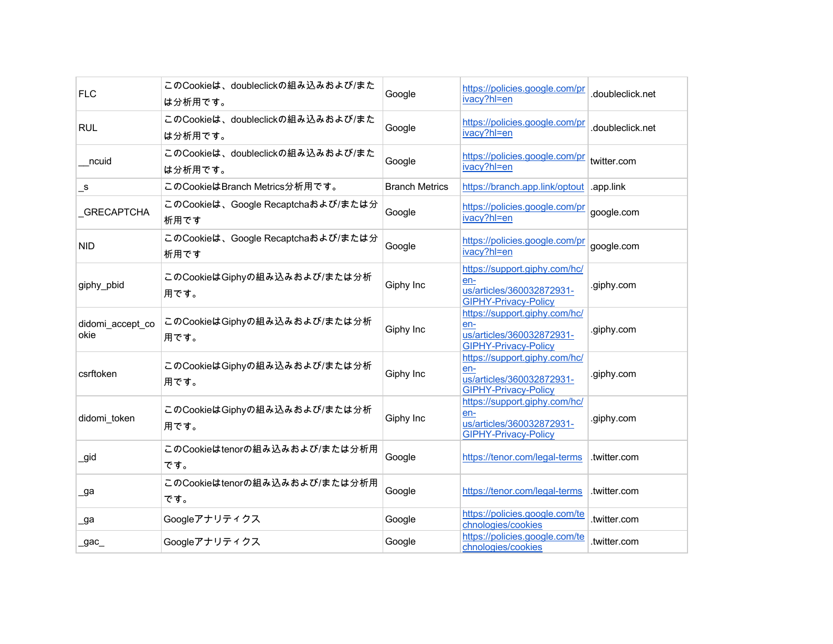| <b>FLC</b>               | このCookieは、doubleclickの組み込みおよび/また<br>は分析用です。 | Google                | https://policies.google.com/pr<br>ivacy?hl=en                                                    | .doubleclick.net |
|--------------------------|---------------------------------------------|-----------------------|--------------------------------------------------------------------------------------------------|------------------|
| <b>RUL</b>               | このCookieは、doubleclickの組み込みおよび/また<br>は分析用です。 | Google                | https://policies.google.com/pr<br>ivacy?hl=en                                                    | .doubleclick.net |
| ncuid                    | このCookieは、doubleclickの組み込みおよび/また<br>は分析用です。 | Google                | https://policies.google.com/pr<br>ivacy?hl=en                                                    | twitter.com      |
| $\mathsf{S}$             | このCookieはBranch Metrics分析用です。               | <b>Branch Metrics</b> | https://branch.app.link/optout                                                                   | .app.link        |
| _GRECAPTCHA              | このCookieは、Google Recaptchaおよび/または分<br>析用です  | Google                | https://policies.google.com/pr<br>ivacy?hl=en                                                    | google.com       |
| <b>NID</b>               | このCookieは、Google Recaptchaおよび/または分<br>析用です  | Google                | https://policies.google.com/pr<br>ivacy?hl=en                                                    | google.com       |
| giphy_pbid               | このCookieはGiphyの組み込みおよび/または分析<br>用です。        | Giphy Inc             | https://support.giphy.com/hc/<br>en-<br>us/articles/360032872931-<br><b>GIPHY-Privacy-Policy</b> | .giphy.com       |
| didomi_accept_co<br>okie | このCookieはGiphyの組み込みおよび/または分析<br>用です。        | Giphy Inc             | https://support.giphy.com/hc/<br>en-<br>us/articles/360032872931-<br>GIPHY-Privacy-Policy        | .giphy.com       |
| csrftoken                | このCookieはGiphyの組み込みおよび/または分析<br>用です。        | Giphy Inc             | https://support.giphy.com/hc/<br>en-<br>us/articles/360032872931-<br><b>GIPHY-Privacy-Policy</b> | .giphy.com       |
| didomi token             | このCookieはGiphyの組み込みおよび/または分析<br>用です。        | Giphy Inc             | https://support.giphy.com/hc/<br>en-<br>us/articles/360032872931-<br><b>GIPHY-Privacy-Policy</b> | .giphy.com       |
| _gid                     | このCookieはtenorの組み込みおよび/または分析用<br>です。        | Google                | https://tenor.com/legal-terms                                                                    | .twitter.com     |
| _ga                      | このCookieはtenorの組み込みおよび/または分析用<br>です。        | Google                | https://tenor.com/legal-terms                                                                    | .twitter.com     |
| _ga                      | Googleアナリティクス                               | Google                | https://policies.google.com/te<br>chnologies/cookies                                             | .twitter.com     |
| _gac_                    | Googleアナリティクス                               | Google                | https://policies.google.com/te<br>chnologies/cookies                                             | .twitter.com     |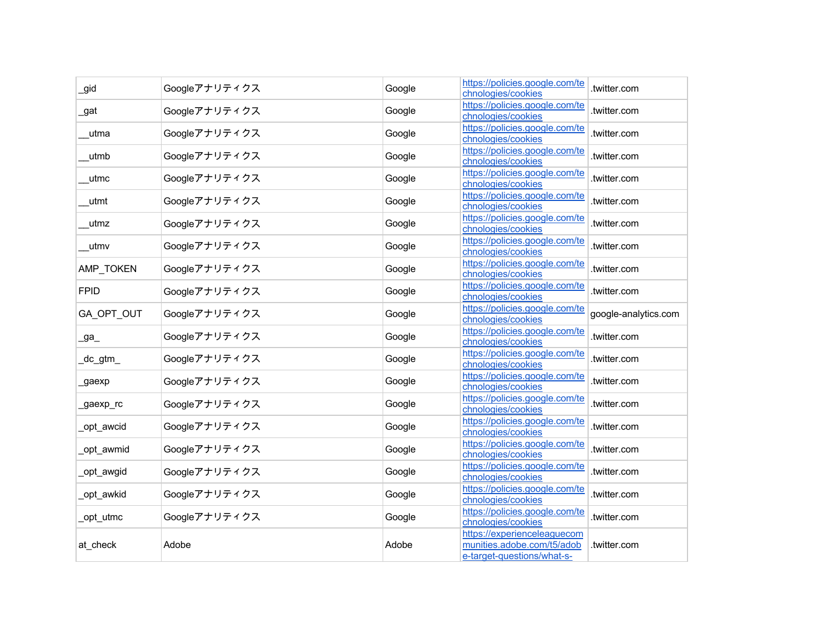| _gid        | Googleアナリティクス | Google | https://policies.google.com/te<br>chnologies/cookies                                    | .twitter.com         |
|-------------|---------------|--------|-----------------------------------------------------------------------------------------|----------------------|
| _gat        | Googleアナリティクス | Google | https://policies.google.com/te<br>chnologies/cookies                                    | .twitter.com         |
| utma        | Googleアナリティクス | Google | https://policies.google.com/te<br>chnologies/cookies                                    | .twitter.com         |
| utmb        | Googleアナリティクス | Google | https://policies.google.com/te<br>chnologies/cookies                                    | .twitter.com         |
| utmc        | Googleアナリティクス | Google | https://policies.google.com/te<br>chnologies/cookies                                    | .twitter.com         |
| utmt        | Googleアナリティクス | Google | https://policies.google.com/te<br>chnologies/cookies                                    | .twitter.com         |
| utmz        | Googleアナリティクス | Google | https://policies.google.com/te<br>chnologies/cookies                                    | .twitter.com         |
| utmv        | Googleアナリティクス | Google | https://policies.google.com/te<br>chnologies/cookies                                    | .twitter.com         |
| AMP_TOKEN   | Googleアナリティクス | Google | https://policies.google.com/te<br>chnologies/cookies                                    | .twitter.com         |
| <b>FPID</b> | Googleアナリティクス | Google | https://policies.google.com/te<br>chnologies/cookies                                    | .twitter.com         |
| GA_OPT_OUT  | Googleアナリティクス | Google | https://policies.google.com/te<br>chnologies/cookies                                    | google-analytics.com |
| _ga_        | Googleアナリティクス | Google | https://policies.google.com/te<br>chnologies/cookies                                    | .twitter.com         |
| _dc_gtm_    | Googleアナリティクス | Google | https://policies.google.com/te<br>chnologies/cookies                                    | .twitter.com         |
| _gaexp      | Googleアナリティクス | Google | https://policies.google.com/te<br>chnologies/cookies                                    | .twitter.com         |
| _gaexp_rc   | Googleアナリティクス | Google | https://policies.google.com/te<br>chnologies/cookies                                    | .twitter.com         |
| _opt_awcid  | Googleアナリティクス | Google | https://policies.google.com/te<br>chnologies/cookies                                    | .twitter.com         |
| _opt_awmid  | Googleアナリティクス | Google | https://policies.google.com/te<br>chnologies/cookies                                    | .twitter.com         |
| _opt_awgid  | Googleアナリティクス | Google | https://policies.google.com/te<br>chnologies/cookies                                    | .twitter.com         |
| opt awkid   | Googleアナリティクス | Google | https://policies.google.com/te<br>chnologies/cookies                                    | .twitter.com         |
| _opt_utmc   | Googleアナリティクス | Google | https://policies.google.com/te<br>chnologies/cookies                                    | .twitter.com         |
| at_check    | Adobe         | Adobe  | https://experienceleaguecom<br>munities.adobe.com/t5/adob<br>e-target-questions/what-s- | .twitter.com         |